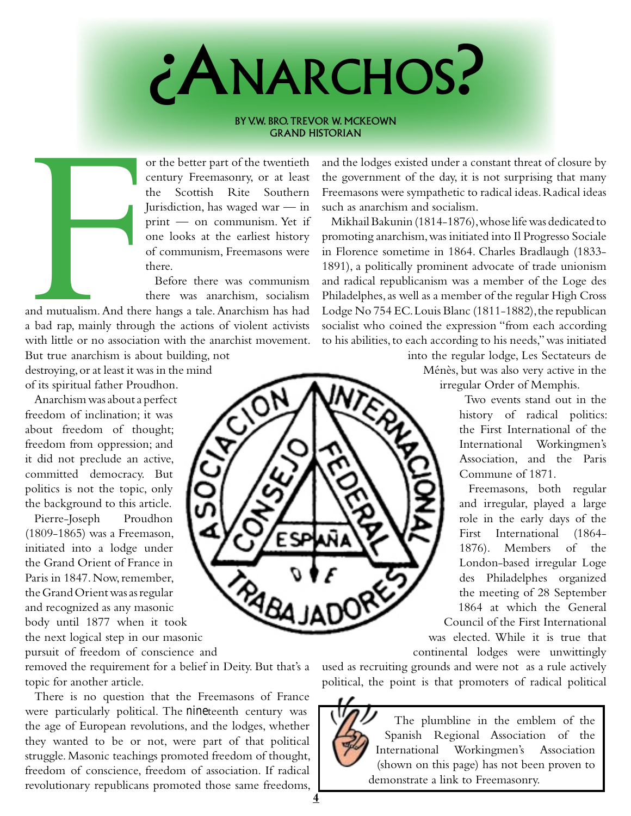

## BY V.W. BRO. TREVOR W. MCKEOWN Grand Historian

or the better part of the twentieth century Freemasonry, or at least the Scottish Rite Southern Jurisdiction, has waged war — in print — on communism. Yet if one looks at the earliest history of communism, Freemasons were there.

Before there was communism there was anarchism, socialism

and mutualism. And then<br>a bad rap, mainly through<br>with little or no association and mutualism. And there hangs a tale. Anarchism has had a bad rap, mainly through the actions of violent activists with little or no association with the anarchist movement.

But true anarchism is about building, not destroying, or at least it was in the mind of its spiritual father Proudhon.

Anarchism was about a perfect freedom of inclination; it was about freedom of thought; freedom from oppression; and it did not preclude an active, committed democracy. But politics is not the topic, only the background to this article.

Pierre-Joseph Proudhon (1809-1865) was a Freemason, initiated into a lodge under the Grand Orient of France in Paris in 1847. Now, remember, the Grand Orient was as regular and recognized as any masonic body until 1877 when it took the next logical step in our masonic

pursuit of freedom of conscience and

removed the requirement for a belief in Deity. But that's a topic for another article.

There is no question that the Freemasons of France were particularly political. The nineteenth century was the age of European revolutions, and the lodges, whether they wanted to be or not, were part of that political struggle. Masonic teachings promoted freedom of thought, freedom of conscience, freedom of association. If radical revolutionary republicans promoted those same freedoms,

and the lodges existed under a constant threat of closure by the government of the day, it is not surprising that many Freemasons were sympathetic to radical ideas. Radical ideas such as anarchism and socialism.

Mikhail Bakunin (1814-1876), whose life was dedicated to promoting anarchism, was initiated into Il Progresso Sociale in Florence sometime in 1864. Charles Bradlaugh (1833- 1891), a politically prominent advocate of trade unionism and radical republicanism was a member of the Loge des Philadelphes, as well as a member of the regular High Cross Lodge No 754 EC. Louis Blanc (1811-1882), the republican socialist who coined the expression "from each according to his abilities, to each according to his needs," was initiated

into the regular lodge, Les Sectateurs de Ménès, but was also very active in the irregular Order of Memphis.

> Two events stand out in the history of radical politics: the First International of the International Workingmen's Association, and the Paris Commune of 1871.

Freemasons, both regular and irregular, played a large role in the early days of the First International (1864- 1876). Members of the London-based irregular Loge des Philadelphes organized the meeting of 28 September 1864 at which the General Council of the First International

was elected. While it is true that continental lodges were unwittingly

used as recruiting grounds and were not as a rule actively political, the point is that promoters of radical political